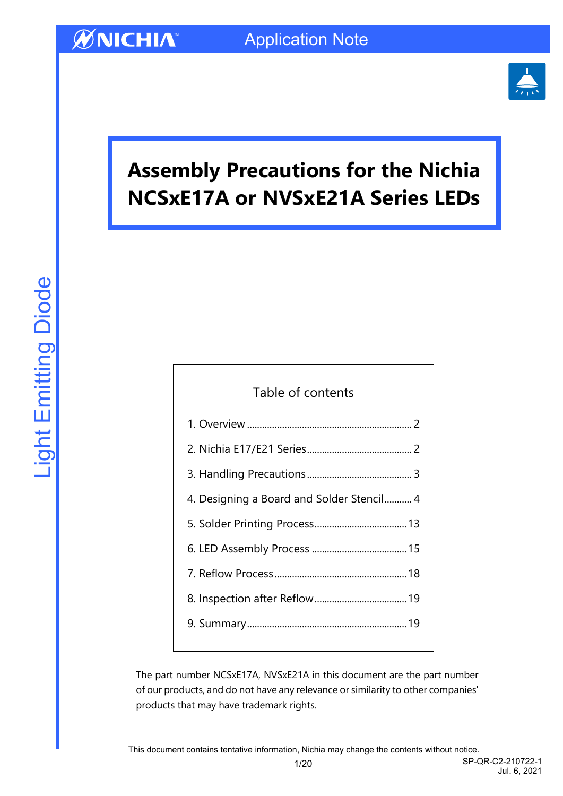

# **Assembly Precautions for the Nichia NCSxE17A or NVSxE21A Series LEDs**

## Table of contents

| 4. Designing a Board and Solder Stencil 4 |
|-------------------------------------------|
|                                           |
|                                           |
|                                           |
|                                           |
|                                           |
|                                           |

The part number NCSxE17A, NVSxE21A in this document are the part number of our products, and do not have any relevance or similarity to other companies' products that may have trademark rights.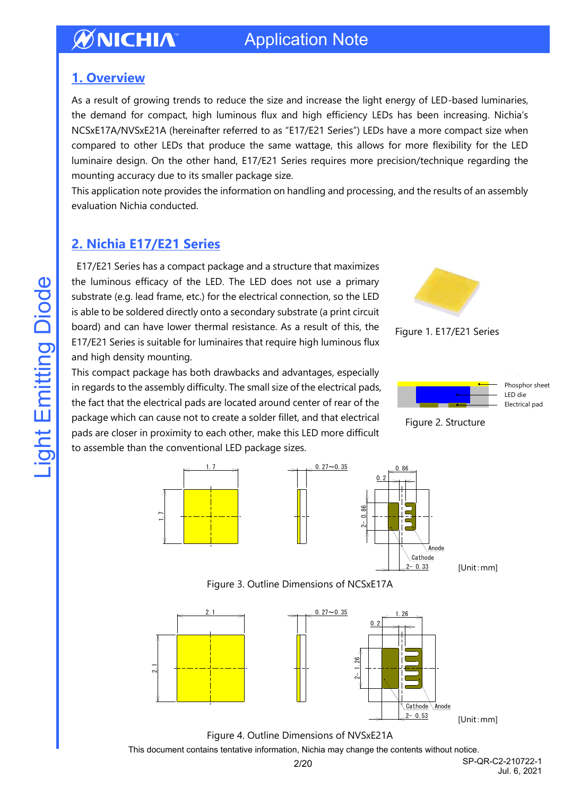## Application Note

## <span id="page-1-0"></span>**1. Overview**

As a result of growing trends to reduce the size and increase the light energy of LED-based luminaries, the demand for compact, high luminous flux and high efficiency LEDs has been increasing. Nichia's NCSxE17A/NVSxE21A (hereinafter referred to as "E17/E21 Series") LEDs have a more compact size when compared to other LEDs that produce the same wattage, this allows for more flexibility for the LED luminaire design. On the other hand, E17/E21 Series requires more precision/technique regarding the mounting accuracy due to its smaller package size.

This application note provides the information on handling and processing, and the results of an assembly evaluation Nichia conducted.

## <span id="page-1-1"></span>**2. Nichia E17/E21 Series**

E17/E21 Series has a compact package and a structure that maximizes the luminous efficacy of the LED. The LED does not use a primary substrate (e.g. lead frame, etc.) for the electrical connection, so the LED is able to be soldered directly onto a secondary substrate (a print circuit board) and can have lower thermal resistance. As a result of this, the E17/E21 Series is suitable for luminaires that require high luminous flux and high density mounting.

This compact package has both drawbacks and advantages, especially in regards to the assembly difficulty. The small size of the electrical pads, the fact that the electrical pads are located around center of rear of the package which can cause not to create a solder fillet, and that electrical pads are closer in proximity to each other, make this LED more difficult

to assemble than the conventional LED package sizes.

Figure 1. E17/E21 Series



Figure 2. Structure







[Unit:mm]

Figure 3. Outline Dimensions of NCSxE17A



[Unit:mm]

Figure 4. Outline Dimensions of NVSxE21A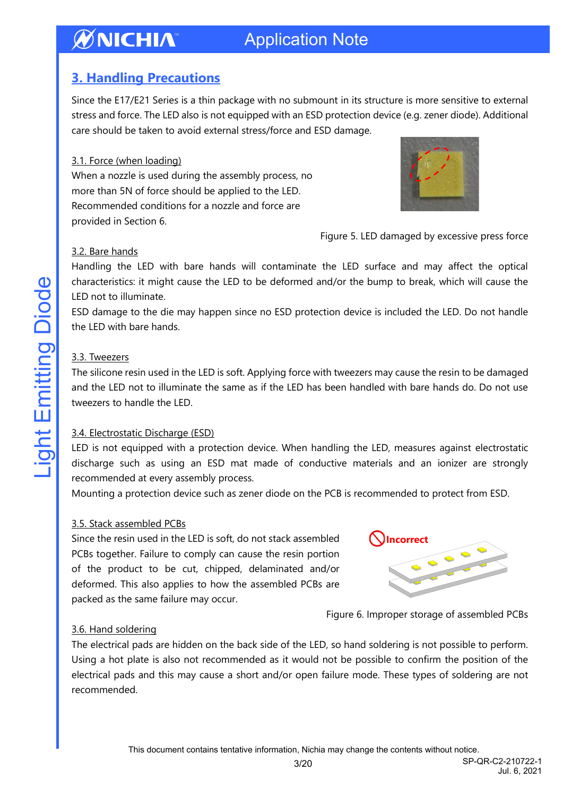## <span id="page-2-0"></span>**3. Handling Precautions**

Since the E17/E21 Series is a thin package with no submount in its structure is more sensitive to external stress and force. The LED also is not equipped with an ESD protection device (e.g. zener diode). Additional care should be taken to avoid external stress/force and ESD damage.

### 3.1. Force (when loading)

When a nozzle is used during the assembly process, no more than 5N of force should be applied to the LED. Recommended conditions for a nozzle and force are provided in Section 6.



Figure 5. LED damaged by excessive press force

### 3.2. Bare hands

Handling the LED with bare hands will contaminate the LED surface and may affect the optical characteristics: it might cause the LED to be deformed and/or the bump to break, which will cause the LED not to illuminate.

ESD damage to the die may happen since no ESD protection device is included the LED. Do not handle the LED with bare hands.

### 3.3. Tweezers

The silicone resin used in the LED is soft. Applying force with tweezers may cause the resin to be damaged and the LED not to illuminate the same as if the LED has been handled with bare hands do. Do not use tweezers to handle the LED.

#### 3.4. Electrostatic Discharge (ESD)

LED is not equipped with a protection device. When handling the LED, measures against electrostatic discharge such as using an ESD mat made of conductive materials and an ionizer are strongly recommended at every assembly process.

Mounting a protection device such as zener diode on the PCB is recommended to protect from ESD.

#### 3.5. Stack assembled PCBs

Since the resin used in the LED is soft, do not stack assembled PCBs together. Failure to comply can cause the resin portion of the product to be cut, chipped, delaminated and/or deformed. This also applies to how the assembled PCBs are packed as the same failure may occur.



Figure 6. Improper storage of assembled PCBs

#### 3.6. Hand soldering

The electrical pads are hidden on the back side of the LED, so hand soldering is not possible to perform. Using a hot plate is also not recommended as it would not be possible to confirm the position of the electrical pads and this may cause a short and/or open failure mode. These types of soldering are not recommended.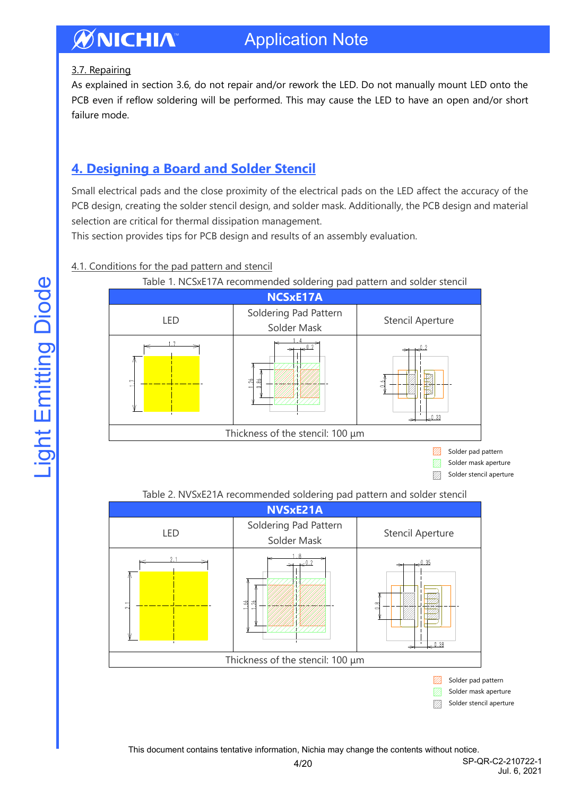## 3.7. Repairing

As explained in section 3.6, do not repair and/or rework the LED. Do not manually mount LED onto the PCB even if reflow soldering will be performed. This may cause the LED to have an open and/or short failure mode.

## <span id="page-3-0"></span>**4. Designing a Board and Solder Stencil**

Small electrical pads and the close proximity of the electrical pads on the LED affect the accuracy of the PCB design, creating the solder stencil design, and solder mask. Additionally, the PCB design and material selection are critical for thermal dissipation management.

This section provides tips for PCB design and results of an assembly evaluation.

## 4.1. Conditions for the pad pattern and stencil



## Table 2. NVSxE21A recommended soldering pad pattern and solder stencil



V)). Solder stencil aperture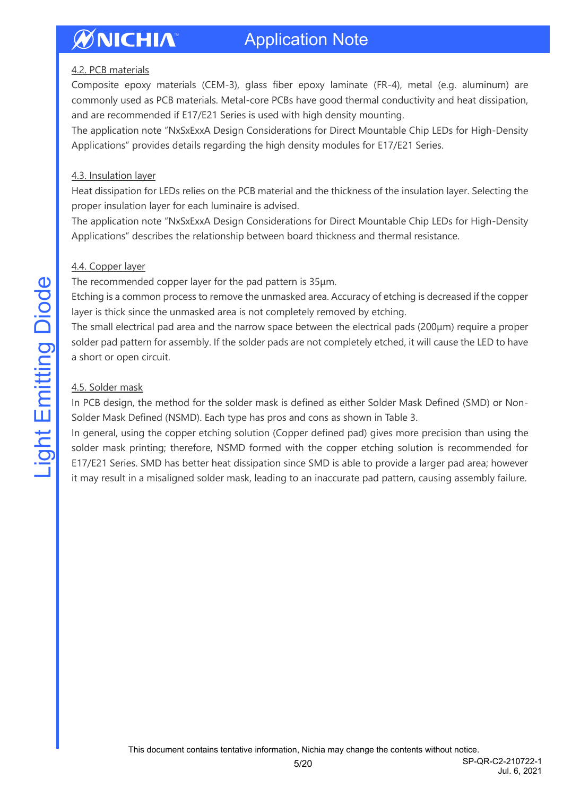### 4.2. PCB materials

Composite epoxy materials (CEM-3), glass fiber epoxy laminate (FR-4), metal (e.g. aluminum) are commonly used as PCB materials. Metal-core PCBs have good thermal conductivity and heat dissipation, and are recommended if E17/E21 Series is used with high density mounting.

The application note "NxSxExxA Design Considerations for Direct Mountable Chip LEDs for High-Density Applications" provides details regarding the high density modules for E17/E21 Series.

### 4.3. Insulation layer

Heat dissipation for LEDs relies on the PCB material and the thickness of the insulation layer. Selecting the proper insulation layer for each luminaire is advised.

The application note "NxSxExxA Design Considerations for Direct Mountable Chip LEDs for High-Density Applications" describes the relationship between board thickness and thermal resistance.

## 4.4. Copper layer

The recommended copper layer for the pad pattern is 35μm.

Etching is a common process to remove the unmasked area. Accuracy of etching is decreased if the copper layer is thick since the unmasked area is not completely removed by etching.

The small electrical pad area and the narrow space between the electrical pads (200μm) require a proper solder pad pattern for assembly. If the solder pads are not completely etched, it will cause the LED to have a short or open circuit.

## 4.5. Solder mask

In PCB design, the method for the solder mask is defined as either Solder Mask Defined (SMD) or Non-Solder Mask Defined (NSMD). Each type has pros and cons as shown in Table 3.

In general, using the copper etching solution (Copper defined pad) gives more precision than using the solder mask printing; therefore, NSMD formed with the copper etching solution is recommended for E17/E21 Series. SMD has better heat dissipation since SMD is able to provide a larger pad area; however it may result in a misaligned solder mask, leading to an inaccurate pad pattern, causing assembly failure.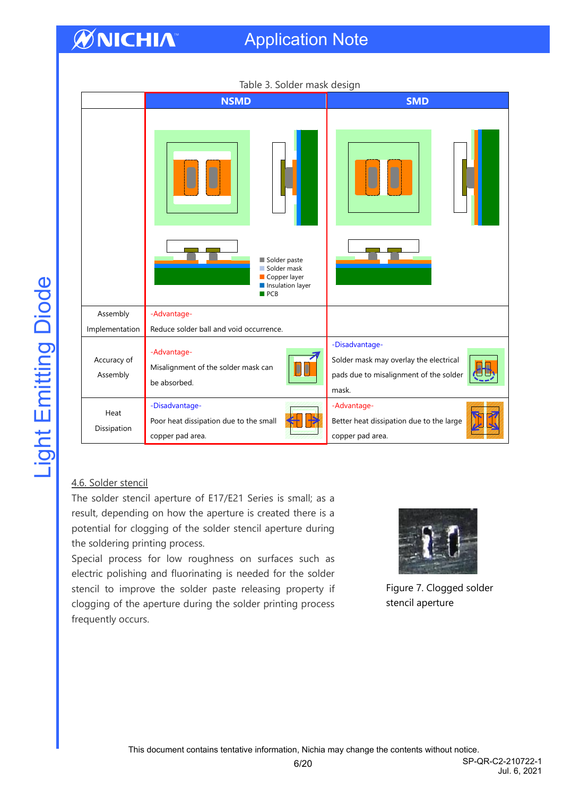## Application Note

| Table 3. Solder mask design |                                                                              |                                                                                                             |  |
|-----------------------------|------------------------------------------------------------------------------|-------------------------------------------------------------------------------------------------------------|--|
|                             | <b>NSMD</b>                                                                  | <b>SMD</b>                                                                                                  |  |
|                             | Solder paste<br>Solder mask<br>Copper layer<br>Insulation layer<br>PCB       |                                                                                                             |  |
| Assembly<br>Implementation  | -Advantage-<br>Reduce solder ball and void occurrence.                       |                                                                                                             |  |
| Accuracy of<br>Assembly     | -Advantage-<br>Misalignment of the solder mask can<br>be absorbed.           | -Disadvantage-<br>Solder mask may overlay the electrical<br>pads due to misalignment of the solder<br>mask. |  |
| Heat<br>Dissipation         | -Disadvantage-<br>Poor heat dissipation due to the small<br>copper pad area. | -Advantage-<br>Better heat dissipation due to the large<br>copper pad area.                                 |  |

#### Table 3. Solder mask design

#### 4.6. Solder stencil

The solder stencil aperture of E17/E21 Series is small; as a result, depending on how the aperture is created there is a potential for clogging of the solder stencil aperture during the soldering printing process.

Special process for low roughness on surfaces such as electric polishing and fluorinating is needed for the solder stencil to improve the solder paste releasing property if clogging of the aperture during the solder printing process frequently occurs.



Figure 7. Clogged solder stencil aperture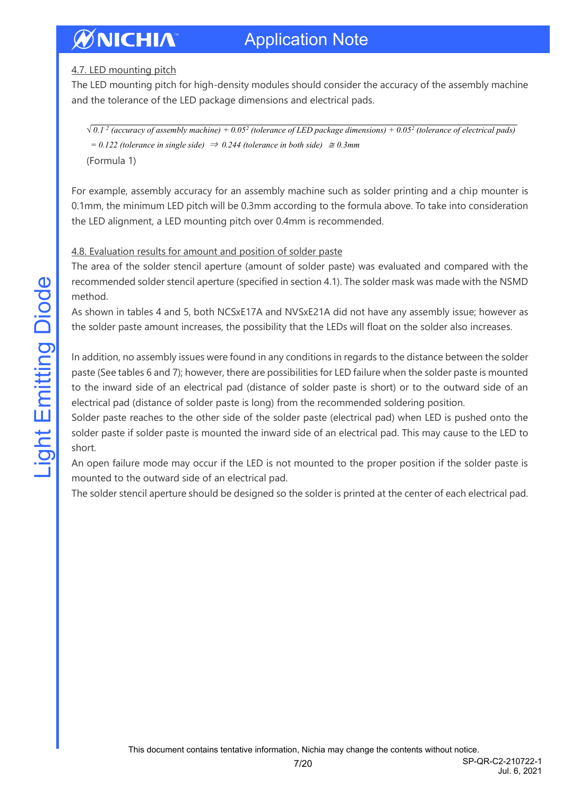## 4.7. LED mounting pitch

The LED mounting pitch for high-density modules should consider the accuracy of the assembly machine and the tolerance of the LED package dimensions and electrical pads.

*√ 0.1 <sup>2</sup> (accuracy of assembly machine) + 0.05<sup>2</sup> (tolerance of LED package dimensions) + 0.05<sup>2</sup> (tolerance of electrical pads) = 0.122 (tolerance in single side)* <sup>⇒</sup> *0.244 (tolerance in both side)* <sup>≅</sup> *0.3mm* (Formula 1)

For example, assembly accuracy for an assembly machine such as solder printing and a chip mounter is 0.1mm, the minimum LED pitch will be 0.3mm according to the formula above. To take into consideration the LED alignment, a LED mounting pitch over 0.4mm is recommended.

## 4.8. Evaluation results for amount and position of solder paste

The area of the solder stencil aperture (amount of solder paste) was evaluated and compared with the recommended solder stencil aperture (specified in section 4.1). The solder mask was made with the NSMD method.

As shown in tables 4 and 5, both NCSxE17A and NVSxE21A did not have any assembly issue; however as the solder paste amount increases, the possibility that the LEDs will float on the solder also increases.

In addition, no assembly issues were found in any conditions in regards to the distance between the solder paste (See tables 6 and 7); however, there are possibilities for LED failure when the solder paste is mounted to the inward side of an electrical pad (distance of solder paste is short) or to the outward side of an electrical pad (distance of solder paste is long) from the recommended soldering position.

Solder paste reaches to the other side of the solder paste (electrical pad) when LED is pushed onto the solder paste if solder paste is mounted the inward side of an electrical pad. This may cause to the LED to short.

An open failure mode may occur if the LED is not mounted to the proper position if the solder paste is mounted to the outward side of an electrical pad.

The solder stencil aperture should be designed so the solder is printed at the center of each electrical pad.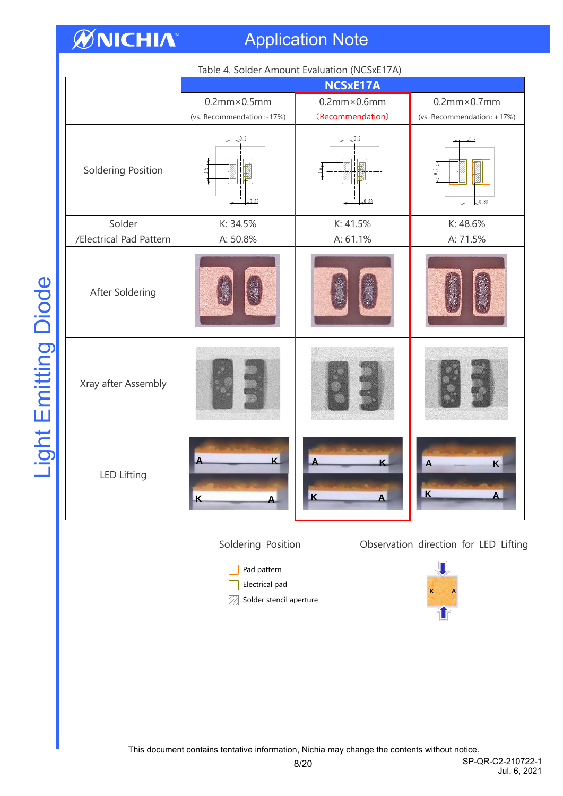## Application Note

| Table 4. Solder Amount Evaluation (NCSxE17A) |                            |                         |                                                |
|----------------------------------------------|----------------------------|-------------------------|------------------------------------------------|
|                                              | <b>NCSxE17A</b>            |                         |                                                |
|                                              | $0.2$ mm $\times$ 0.5mm    | $0.2$ mm $\times$ 0.6mm | $0.2$ mm $\times$ 0.7mm                        |
|                                              | (vs. Recommendation: -17%) | (Recommendation)        | (vs. Recommendation: +17%)                     |
| Soldering Position                           | .0.33                      | 0.33                    | 0.2<br>$\frac{1}{2}$<br>0.33                   |
| Solder                                       | K: 34.5%                   | K: 41.5%                | K: 48.6%                                       |
| /Electrical Pad Pattern                      | A: 50.8%                   | A: 61.1%                | A: 71.5%                                       |
| After Soldering                              |                            |                         |                                                |
| Xray after Assembly                          |                            |                         |                                                |
| <b>LED Lifting</b>                           | $\mathbf{K}$<br>K          | $\mathbf{K}$<br>K       | $\overline{A}$<br>K<br>$\overline{\mathbf{K}}$ |

Soldering Position Observation direction for LED Lifting

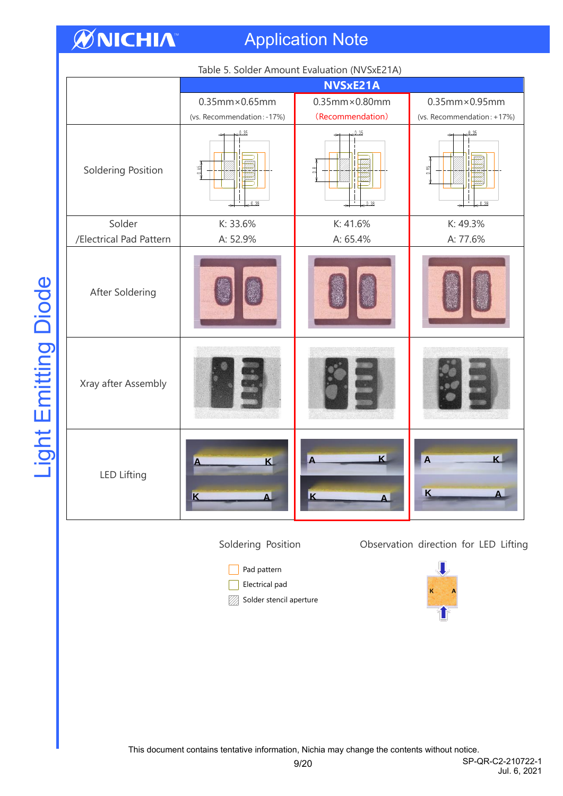## Application Note

|                         | Table 5. Solder Amount Evaluation (NVSXEZTA)<br>NVSxE21A |                                               |                                                                      |
|-------------------------|----------------------------------------------------------|-----------------------------------------------|----------------------------------------------------------------------|
|                         | $0.35$ mm $\times$ 0.65mm<br>(vs. Recommendation: -17%)  | $0.35$ mm $\times$ 0.80mm<br>(Recommendation) | $0.35$ mm $\times$ 0.95mm<br>(vs. Recommendation: +17%)              |
| Soldering Position      | $-0.35$<br>$-1.65$<br>0.38                               | 0.35<br>$\frac{8}{10}$<br>0.38                | 0.35<br>0.95<br>0.38                                                 |
| Solder                  | K: 33.6%                                                 | K: 41.6%                                      | K: 49.3%                                                             |
| /Electrical Pad Pattern | A: 52.9%                                                 | A: 65.4%                                      | A: 77.6%                                                             |
| After Soldering         |                                                          |                                               |                                                                      |
| Xray after Assembly     |                                                          |                                               |                                                                      |
| <b>LED Lifting</b>      | K<br>K                                                   | $\mathbf k$<br>$\overline{\mathbf{K}}$        | $\overline{\mathbf{K}}$<br>$\overline{A}$<br>$\overline{\mathsf{K}}$ |

Table 5. Solder Amount Evaluation (NVSxE21A)

Soldering Position Observation direction for LED Lifting

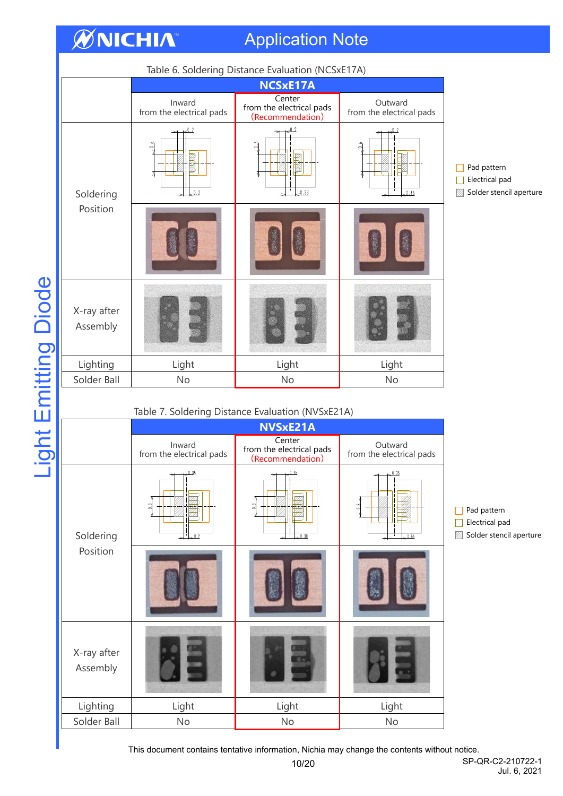## Application Note

**ØNICHIA** 

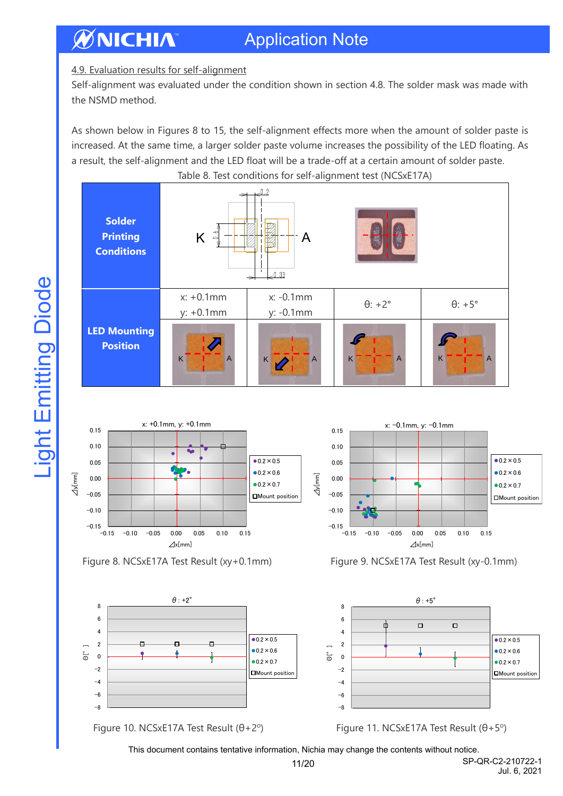## 4.9. Evaluation results for self-alignment

Self-alignment was evaluated under the condition shown in section 4.8. The solder mask was made with the NSMD method.

As shown below in Figures 8 to 15, the self-alignment effects more when the amount of solder paste is increased. At the same time, a larger solder paste volume increases the possibility of the LED floating. As a result, the self-alignment and the LED float will be a trade-off at a certain amount of solder paste. Table 8. Test conditions for self-alignment test (NCSxE17A)

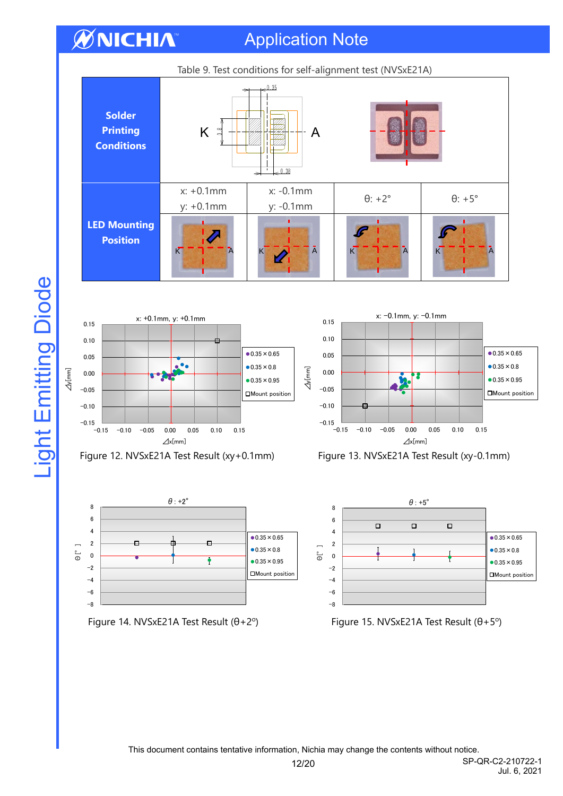Application Note

















**Light Emitting Diode** 

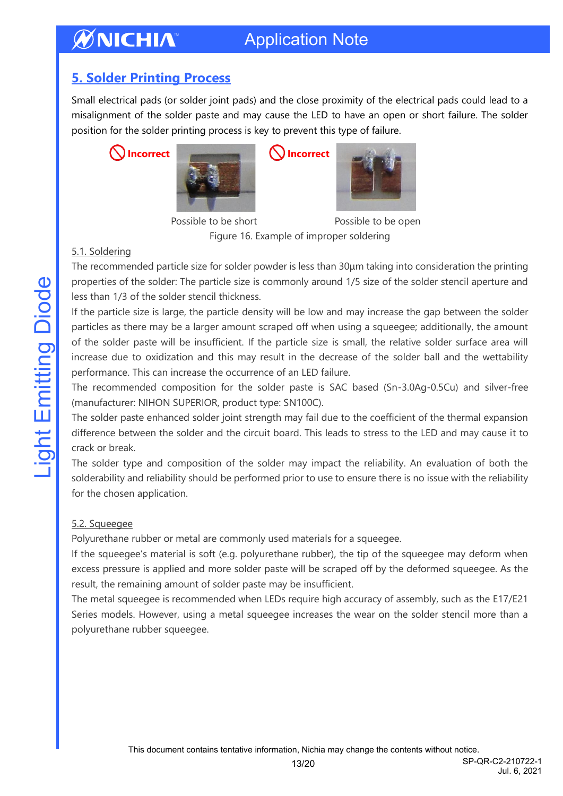## <span id="page-12-0"></span>**5. Solder Printing Process**

Small electrical pads (or solder joint pads) and the close proximity of the electrical pads could lead to a misalignment of the solder paste and may cause the LED to have an open or short failure. The solder position for the solder printing process is key to prevent this type of failure.





Possible to be short Possible to be open

Figure 16. Example of improper soldering

## 5.1. Soldering

The recommended particle size for solder powder is less than 30μm taking into consideration the printing properties of the solder: The particle size is commonly around 1/5 size of the solder stencil aperture and less than 1/3 of the solder stencil thickness.

If the particle size is large, the particle density will be low and may increase the gap between the solder particles as there may be a larger amount scraped off when using a squeegee; additionally, the amount of the solder paste will be insufficient. If the particle size is small, the relative solder surface area will increase due to oxidization and this may result in the decrease of the solder ball and the wettability performance. This can increase the occurrence of an LED failure.

The recommended composition for the solder paste is SAC based (Sn-3.0Ag-0.5Cu) and silver-free (manufacturer: NIHON SUPERIOR, product type: SN100C).

The solder paste enhanced solder joint strength may fail due to the coefficient of the thermal expansion difference between the solder and the circuit board. This leads to stress to the LED and may cause it to crack or break.

The solder type and composition of the solder may impact the reliability. An evaluation of both the solderability and reliability should be performed prior to use to ensure there is no issue with the reliability for the chosen application.

## 5.2. Squeegee

Polyurethane rubber or metal are commonly used materials for a squeegee.

If the squeegee's material is soft (e.g. polyurethane rubber), the tip of the squeegee may deform when excess pressure is applied and more solder paste will be scraped off by the deformed squeegee. As the result, the remaining amount of solder paste may be insufficient.

The metal squeegee is recommended when LEDs require high accuracy of assembly, such as the E17/E21 Series models. However, using a metal squeegee increases the wear on the solder stencil more than a polyurethane rubber squeegee.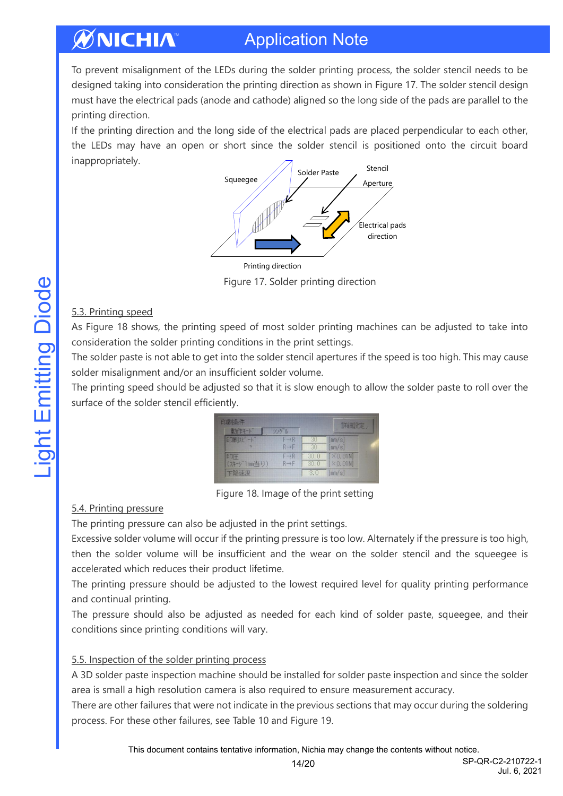To prevent misalignment of the LEDs during the solder printing process, the solder stencil needs to be designed taking into consideration the printing direction as shown in Figure 17. The solder stencil design must have the electrical pads (anode and cathode) aligned so the long side of the pads are parallel to the printing direction.

If the printing direction and the long side of the electrical pads are placed perpendicular to each other, the LEDs may have an open or short since the solder stencil is positioned onto the circuit board inappropriately.



Figure 17. Solder printing direction

## 5.3. Printing speed

As Figure 18 shows, the printing speed of most solder printing machines can be adjusted to take into consideration the solder printing conditions in the print settings.

The solder paste is not able to get into the solder stencil apertures if the speed is too high. This may cause solder misalignment and/or an insufficient solder volume.

The printing speed should be adjusted so that it is slow enough to allow the solder paste to roll over the surface of the solder stencil efficiently.

| 印刷条件              |                                        |              | 詳細設定。                        |
|-------------------|----------------------------------------|--------------|------------------------------|
| 動作モート             | ツクル                                    |              |                              |
| 印刷化 一             | $F \rightarrow R$<br>$R \rightarrow F$ | m<br>30      | [mm/s]<br>[mm/s]             |
| 印圧<br>(スキージ1mm当り) | $F \rightarrow R$<br>$R \rightarrow F$ | 30.0<br>30.0 | $[\times 0.01N]$<br>[X0.01N] |
| 下降速度              |                                        | 3.0          | [mm/s]                       |

Figure 18. Image of the print setting

## 5.4. Printing pressure

The printing pressure can also be adjusted in the print settings.

Excessive solder volume will occur if the printing pressure is too low. Alternately if the pressure is too high, then the solder volume will be insufficient and the wear on the solder stencil and the squeegee is accelerated which reduces their product lifetime.

The printing pressure should be adjusted to the lowest required level for quality printing performance and continual printing.

The pressure should also be adjusted as needed for each kind of solder paste, squeegee, and their conditions since printing conditions will vary.

## 5.5. Inspection of the solder printing process

A 3D solder paste inspection machine should be installed for solder paste inspection and since the solder area is small a high resolution camera is also required to ensure measurement accuracy.

There are other failures that were not indicate in the previous sections that may occur during the soldering process. For these other failures, see Table 10 and Figure 19.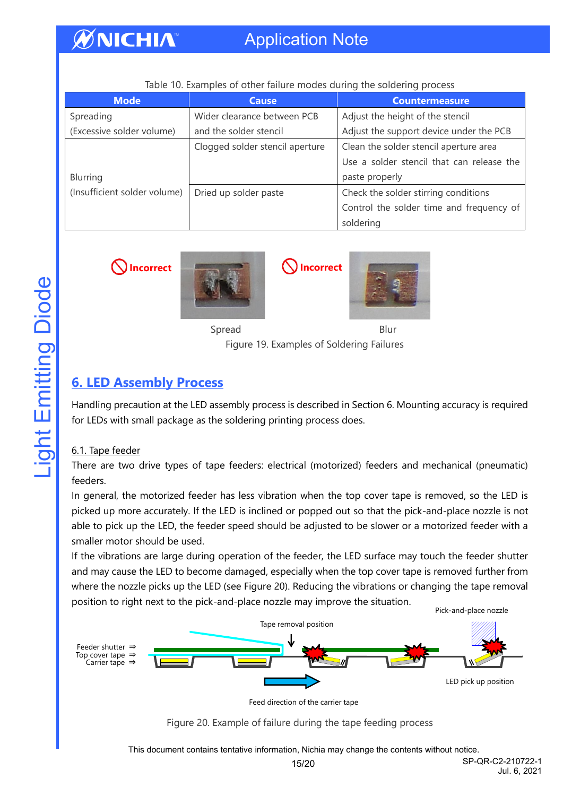## Application Note

| <b>Mode</b>                  | <b>Cause</b>                    | <b>Countermeasure</b>                     |
|------------------------------|---------------------------------|-------------------------------------------|
| Spreading                    | Wider clearance between PCB     | Adjust the height of the stencil          |
| (Excessive solder volume)    | and the solder stencil          | Adjust the support device under the PCB   |
|                              | Clogged solder stencil aperture | Clean the solder stencil aperture area    |
|                              |                                 | Use a solder stencil that can release the |
| Blurring                     |                                 | paste properly                            |
| (Insufficient solder volume) | Dried up solder paste           | Check the solder stirring conditions      |
|                              |                                 | Control the solder time and frequency of  |
|                              |                                 | soldering                                 |

#### Table 10. Examples of other failure modes during the soldering process

WNICHIA





Spread Blur

Figure 19. Examples of Soldering Failures

## <span id="page-14-0"></span>**6. LED Assembly Process**

Handling precaution at the LED assembly process is described in Section 6. Mounting accuracy is required for LEDs with small package as the soldering printing process does.

## 6.1. Tape feeder

There are two drive types of tape feeders: electrical (motorized) feeders and mechanical (pneumatic) feeders.

In general, the motorized feeder has less vibration when the top cover tape is removed, so the LED is picked up more accurately. If the LED is inclined or popped out so that the pick-and-place nozzle is not able to pick up the LED, the feeder speed should be adjusted to be slower or a motorized feeder with a smaller motor should be used.

If the vibrations are large during operation of the feeder, the LED surface may touch the feeder shutter and may cause the LED to become damaged, especially when the top cover tape is removed further from where the nozzle picks up the LED (see Figure 20). Reducing the vibrations or changing the tape removal position to right next to the pick-and-place nozzle may improve the situation.



Feed direction of the carrier tape

Figure 20. Example of failure during the tape feeding process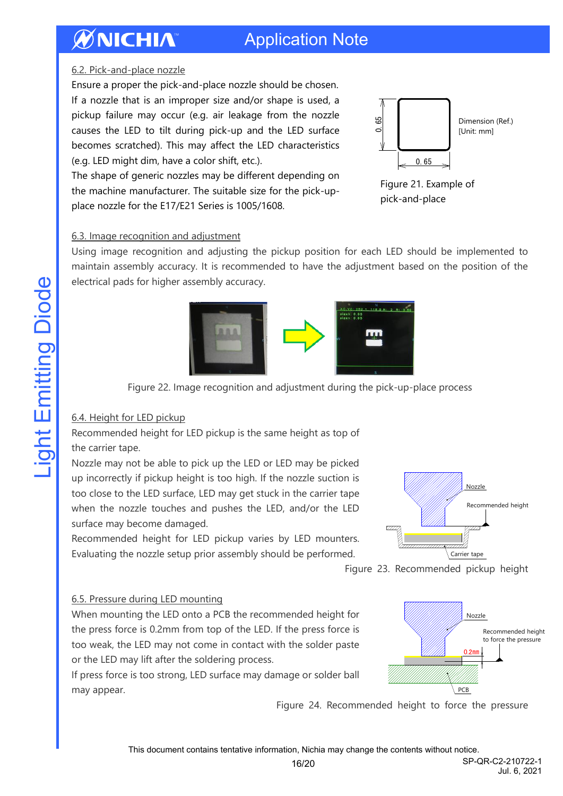# WNICHIA

## Application Note

### 6.2. Pick-and-place nozzle

Ensure a proper the pick-and-place nozzle should be chosen. If a nozzle that is an improper size and/or shape is used, a pickup failure may occur (e.g. air leakage from the nozzle causes the LED to tilt during pick-up and the LED surface becomes scratched). This may affect the LED characteristics (e.g. LED might dim, have a color shift, etc.).

The shape of generic nozzles may be different depending on the machine manufacturer. The suitable size for the pick-upplace nozzle for the E17/E21 Series is 1005/1608.



Figure 21. Example of pick-and-place

### 6.3. Image recognition and adjustment

Using image recognition and adjusting the pickup position for each LED should be implemented to maintain assembly accuracy. It is recommended to have the adjustment based on the position of the electrical pads for higher assembly accuracy.



Figure 22. Image recognition and adjustment during the pick-up-place process

## 6.4. Height for LED pickup

Recommended height for LED pickup is the same height as top of the carrier tape.

Nozzle may not be able to pick up the LED or LED may be picked up incorrectly if pickup height is too high. If the nozzle suction is too close to the LED surface, LED may get stuck in the carrier tape when the nozzle touches and pushes the LED, and/or the LED surface may become damaged.

Recommended height for LED pickup varies by LED mounters. Evaluating the nozzle setup prior assembly should be performed.



0.2㎜

PCB and the set

PCB

Nozzle



## 6.5. Pressure during LED mounting

When mounting the LED onto a PCB the recommended height for the press force is 0.2mm from top of the LED. If the press force is too weak, the LED may not come in contact with the solder paste or the LED may lift after the soldering process.

If press force is too strong, LED surface may damage or solder ball may appear.

Figure 24. Recommended height to force the pressure

This document contains tentative information, Nichia may change the contents without notice.

to force the pressure Recommended height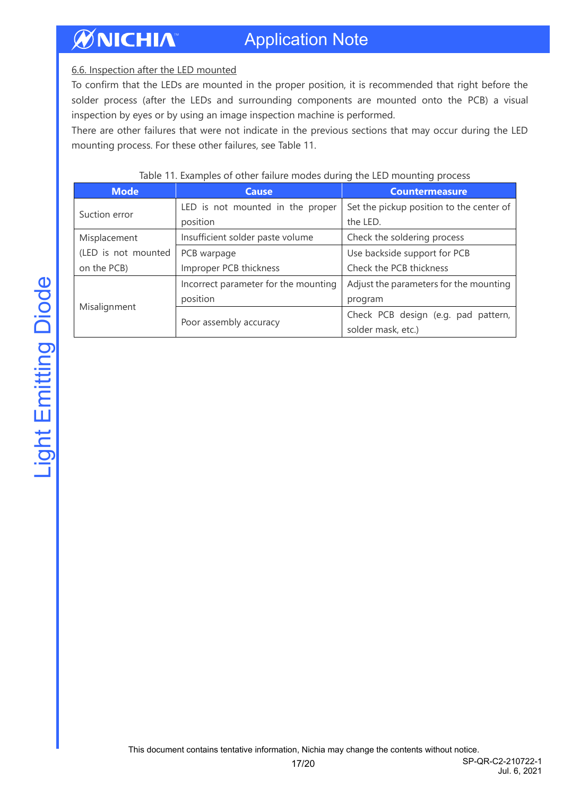### 6.6. Inspection after the LED mounted

To confirm that the LEDs are mounted in the proper position, it is recommended that right before the solder process (after the LEDs and surrounding components are mounted onto the PCB) a visual inspection by eyes or by using an image inspection machine is performed.

There are other failures that were not indicate in the previous sections that may occur during the LED mounting process. For these other failures, see Table 11.

| <b>Mode</b>         | <b>Cause</b>                         | <b>Countermeasure</b>                    |
|---------------------|--------------------------------------|------------------------------------------|
| Suction error       | LED is not mounted in the proper     | Set the pickup position to the center of |
|                     | position                             | the LED.                                 |
| Misplacement        | Insufficient solder paste volume     | Check the soldering process              |
| (LED is not mounted | PCB warpage                          | Use backside support for PCB             |
| on the PCB)         | Improper PCB thickness               | Check the PCB thickness                  |
| Misalignment        | Incorrect parameter for the mounting | Adjust the parameters for the mounting   |
|                     | position                             | program                                  |
|                     |                                      | Check PCB design (e.g. pad pattern,      |
|                     | Poor assembly accuracy               | solder mask, etc.)                       |

#### Table 11. Examples of other failure modes during the LED mounting process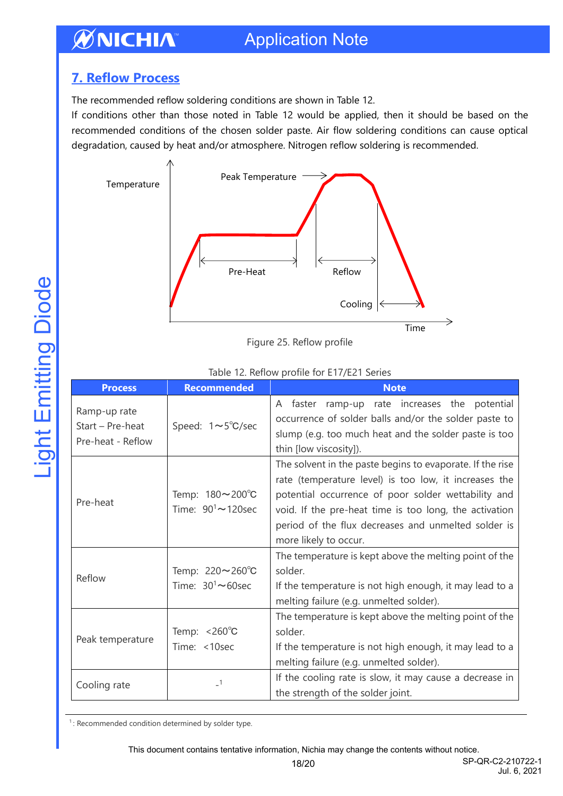## Application Note

## <span id="page-17-0"></span>**7. Reflow Process**

**ØNICHIA** 

The recommended reflow soldering conditions are shown in Table 12.

If conditions other than those noted in Table 12 would be applied, then it should be based on the recommended conditions of the chosen solder paste. Air flow soldering conditions can cause optical degradation, caused by heat and/or atmosphere. Nitrogen reflow soldering is recommended.



Figure 25. Reflow profile

#### Table 12. Reflow profile for E17/E21 Series

| <b>Process</b>                                        | <b>Recommended</b>                                         | <b>Note</b>                                                                                                                                                                                                                                                                                                         |
|-------------------------------------------------------|------------------------------------------------------------|---------------------------------------------------------------------------------------------------------------------------------------------------------------------------------------------------------------------------------------------------------------------------------------------------------------------|
| Ramp-up rate<br>Start - Pre-heat<br>Pre-heat - Reflow | Speed: $1 \sim 5^{\circ}$ C/sec                            | A faster ramp-up rate increases the potential<br>occurrence of solder balls and/or the solder paste to<br>slump (e.g. too much heat and the solder paste is too<br>thin [low viscosity]).                                                                                                                           |
| Pre-heat                                              | Temp: 180~200°C<br>Time: $90^1 \sim 120$ sec               | The solvent in the paste begins to evaporate. If the rise<br>rate (temperature level) is too low, it increases the<br>potential occurrence of poor solder wettability and<br>void. If the pre-heat time is too long, the activation<br>period of the flux decreases and unmelted solder is<br>more likely to occur. |
| Reflow                                                | Temp: $220 \sim 260^{\circ}$ C<br>Time: $30^1 \sim 60$ sec | The temperature is kept above the melting point of the<br>solder.<br>If the temperature is not high enough, it may lead to a<br>melting failure (e.g. unmelted solder).                                                                                                                                             |
| Peak temperature                                      | Temp: $< 260^{\circ}$ C<br>Time: <10sec                    | The temperature is kept above the melting point of the<br>solder.<br>If the temperature is not high enough, it may lead to a<br>melting failure (e.g. unmelted solder).                                                                                                                                             |
| Cooling rate                                          | $\overline{\phantom{0}}$ 1                                 | If the cooling rate is slow, it may cause a decrease in<br>the strength of the solder joint.                                                                                                                                                                                                                        |

<sup>1</sup>: Recommended condition determined by solder type.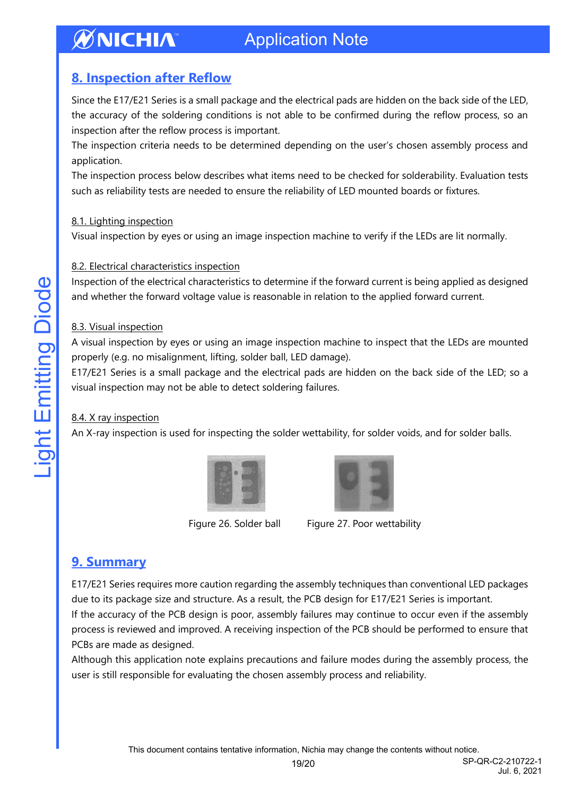## <span id="page-18-0"></span>**8. Inspection after Reflow**

Since the E17/E21 Series is a small package and the electrical pads are hidden on the back side of the LED, the accuracy of the soldering conditions is not able to be confirmed during the reflow process, so an inspection after the reflow process is important.

The inspection criteria needs to be determined depending on the user's chosen assembly process and application.

The inspection process below describes what items need to be checked for solderability. Evaluation tests such as reliability tests are needed to ensure the reliability of LED mounted boards or fixtures.

### 8.1. Lighting inspection

Visual inspection by eyes or using an image inspection machine to verify if the LEDs are lit normally.

## 8.2. Electrical characteristics inspection

Inspection of the electrical characteristics to determine if the forward current is being applied as designed and whether the forward voltage value is reasonable in relation to the applied forward current.

## 8.3. Visual inspection

A visual inspection by eyes or using an image inspection machine to inspect that the LEDs are mounted properly (e.g. no misalignment, lifting, solder ball, LED damage).

E17/E21 Series is a small package and the electrical pads are hidden on the back side of the LED; so a visual inspection may not be able to detect soldering failures.

## 8.4. X ray inspection

An X-ray inspection is used for inspecting the solder wettability, for solder voids, and for solder balls.





Figure 26. Solder ball Figure 27. Poor wettability

## <span id="page-18-1"></span>**9. Summary**

E17/E21 Series requires more caution regarding the assembly techniques than conventional LED packages due to its package size and structure. As a result, the PCB design for E17/E21 Series is important.

If the accuracy of the PCB design is poor, assembly failures may continue to occur even if the assembly process is reviewed and improved. A receiving inspection of the PCB should be performed to ensure that PCBs are made as designed.

Although this application note explains precautions and failure modes during the assembly process, the user is still responsible for evaluating the chosen assembly process and reliability.